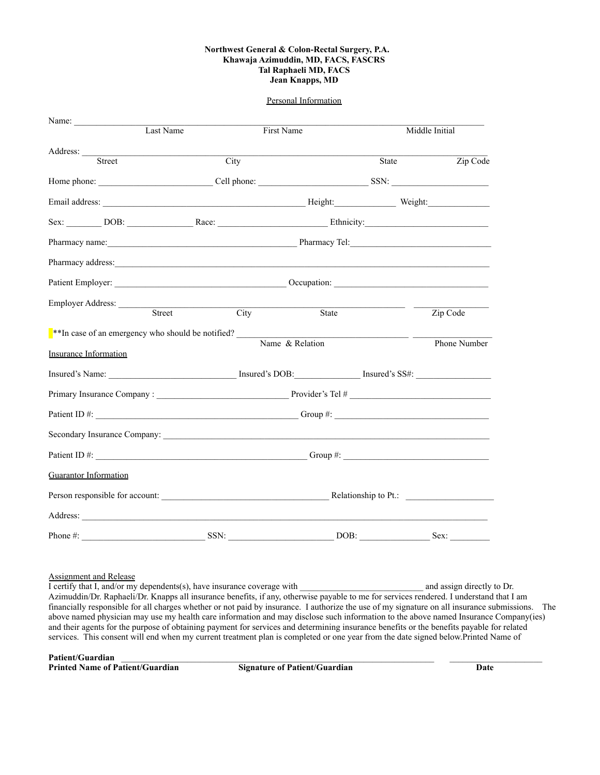#### **Northwest General & Colon-Rectal Surgery, P.A. Khawaja Azimuddin, MD, FACS, FASCRS Tal Raphaeli MD, FACS Jean Knapps, MD**

#### Personal Information

| Name: $\frac{1}{\sqrt{1-\frac{1}{2}}\cdot\frac{1}{2}}$                                                                                                                                                                               |                         |                 |                |              |
|--------------------------------------------------------------------------------------------------------------------------------------------------------------------------------------------------------------------------------------|-------------------------|-----------------|----------------|--------------|
|                                                                                                                                                                                                                                      | Last Name<br>First Name |                 | Middle Initial |              |
| Address: <u>Street</u>                                                                                                                                                                                                               | City                    |                 |                |              |
|                                                                                                                                                                                                                                      |                         |                 | State          | Zip Code     |
|                                                                                                                                                                                                                                      |                         |                 |                |              |
|                                                                                                                                                                                                                                      |                         |                 |                |              |
| Sex: DOB: Race: Race: Ethnicity:                                                                                                                                                                                                     |                         |                 |                |              |
|                                                                                                                                                                                                                                      |                         |                 |                |              |
| Pharmacy address: <u>contract and a series of the series of the series of the series of the series of the series of the series of the series of the series of the series of the series of the series of the series of the series</u> |                         |                 |                |              |
|                                                                                                                                                                                                                                      |                         |                 |                |              |
| Employer Address: <u>Street</u>                                                                                                                                                                                                      |                         | City            |                |              |
|                                                                                                                                                                                                                                      |                         | State           |                | Zip Code     |
| **In case of an emergency who should be notified?                                                                                                                                                                                    |                         |                 |                |              |
| <b>Insurance Information</b>                                                                                                                                                                                                         |                         | Name & Relation |                | Phone Number |
| Insured's Name: Insured's DOB: Insured's DOB: Insured's SS#:                                                                                                                                                                         |                         |                 |                |              |
|                                                                                                                                                                                                                                      |                         |                 |                |              |
|                                                                                                                                                                                                                                      |                         |                 |                |              |
|                                                                                                                                                                                                                                      |                         |                 |                |              |
|                                                                                                                                                                                                                                      |                         |                 |                |              |
| <b>Guarantor Information</b>                                                                                                                                                                                                         |                         |                 |                |              |
|                                                                                                                                                                                                                                      |                         |                 |                |              |
|                                                                                                                                                                                                                                      |                         |                 |                |              |
| Phone#:                                                                                                                                                                                                                              | SSN:                    | DOB:            |                | Sex:         |

#### Assignment and Release

I certify that I, and/or my dependents(s), have insurance coverage with and assign directly to Dr. Azimuddin/Dr. Raphaeli/Dr. Knapps all insurance benefits, if any, otherwise payable to me for services rendered. I understand that I am financially responsible for all charges whether or not paid by insurance. I authorize the use of my signature on all insurance submissions. The above named physician may use my health care information and may disclose such information to the above named Insurance Company(ies) and their agents for the purpose of obtaining payment for services and determining insurance benefits or the benefits payable for related services. This consent will end when my current treatment plan is completed or one year from the date signed below.Printed Name of

Patient/Guardian<br> **Printed Name of Patient/Guardian**<br> **Signature of Patient/Guardian Printed Name of Patient/Guardian Signature of Patient/Guardian Date**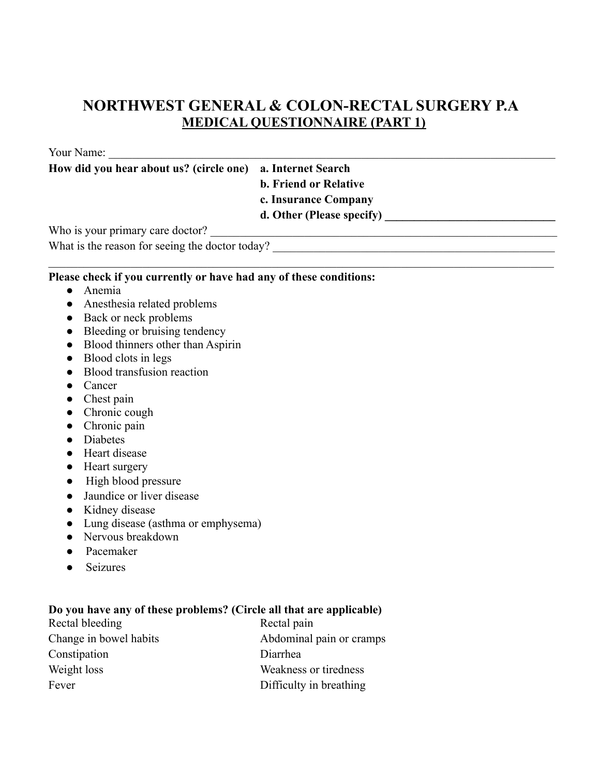## **NORTHWEST GENERAL & COLON-RECTAL SURGERY P.A MEDICAL QUESTIONNAIRE (PART 1)**

Your Name:

**How did you hear about us? (circle one) a. Internet Search**

**b. Friend or Relative**

**c. Insurance Company**

d. Other (Please specify)

Who is your primary care doctor? \_\_\_\_\_\_\_\_\_\_\_\_\_\_\_\_\_\_\_\_\_\_\_\_\_\_\_\_\_\_\_\_\_\_\_\_\_\_\_\_\_\_\_\_\_\_\_\_\_\_\_\_\_\_\_\_\_\_\_

What is the reason for seeing the doctor today? \_\_\_\_\_\_\_\_\_\_\_\_\_\_\_\_\_\_\_\_\_\_\_\_\_\_\_\_\_\_\_\_\_\_\_\_\_\_\_\_\_\_\_\_\_\_\_\_

#### **Please check if you currently or have had any of these conditions:**

- Anemia
- Anesthesia related problems
- Back or neck problems
- Bleeding or bruising tendency
- Blood thinners other than Aspirin
- Blood clots in legs
- Blood transfusion reaction
- Cancer
- Chest pain
- Chronic cough
- Chronic pain
- Diabetes
- Heart disease
- Heart surgery
- High blood pressure
- Jaundice or liver disease
- Kidney disease
- Lung disease (asthma or emphysema)
- Nervous breakdown
- Pacemaker
- Seizures

### **Do you have any of these problems? (Circle all that are applicable)**

| Rectal bleeding        | Rectal pain              |
|------------------------|--------------------------|
| Change in bowel habits | Abdominal pain or cramps |
| Constipation           | Diarrhea                 |
| Weight loss            | Weakness or tiredness    |
| Fever                  | Difficulty in breathing  |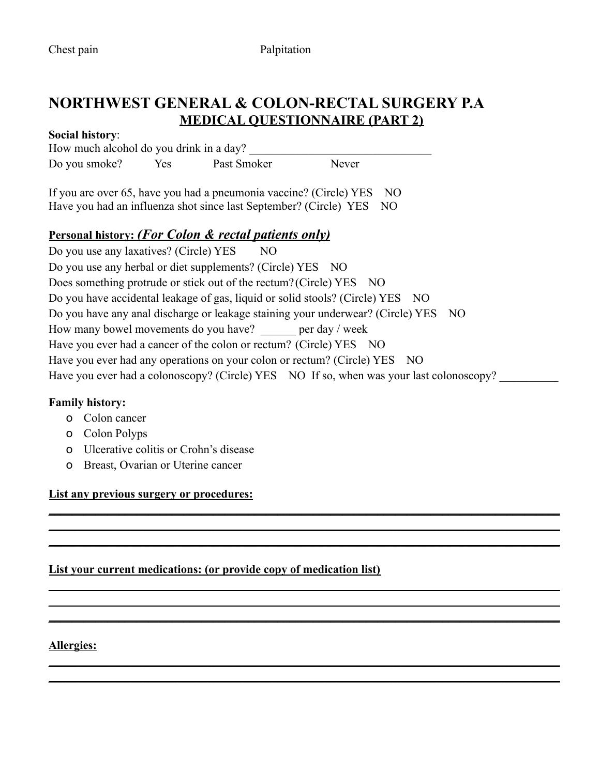### **NORTHWEST GENERAL & COLON-RECTAL SURGERY P.A MEDICAL QUESTIONNAIRE (PART 2)**

#### **Social history**:

How much alcohol do you drink in a day? Do you smoke? Yes Past Smoker Never

If you are over 65, have you had a pneumonia vaccine? (Circle) YES NO Have you had an influenza shot since last September? (Circle) YES NO

### **Personal history:** *(For Colon & rectal patients only)*

Do you use any laxatives? (Circle) YES NO Do you use any herbal or diet supplements? (Circle) YES NO Does something protrude or stick out of the rectum? (Circle) YES NO Do you have accidental leakage of gas, liquid or solid stools? (Circle) YES NO Do you have any anal discharge or leakage staining your underwear? (Circle) YES NO How many bowel movements do you have? per day / week Have you ever had a cancer of the colon or rectum? (Circle) YES NO Have you ever had any operations on your colon or rectum? (Circle) YES NO Have you ever had a colonoscopy? (Circle) YES NO If so, when was your last colonoscopy?

**\_\_\_\_\_\_\_\_\_\_\_\_\_\_\_\_\_\_\_\_\_\_\_\_\_\_\_\_\_\_\_\_\_\_\_\_\_\_\_\_\_\_\_\_\_\_\_\_\_\_\_\_\_\_\_\_\_\_\_\_\_\_\_\_\_\_\_\_\_\_\_\_\_\_\_\_\_\_\_\_\_\_\_\_\_\_\_ \_\_\_\_\_\_\_\_\_\_\_\_\_\_\_\_\_\_\_\_\_\_\_\_\_\_\_\_\_\_\_\_\_\_\_\_\_\_\_\_\_\_\_\_\_\_\_\_\_\_\_\_\_\_\_\_\_\_\_\_\_\_\_\_\_\_\_\_\_\_\_\_\_\_\_\_\_\_\_\_\_\_\_\_\_\_\_ \_\_\_\_\_\_\_\_\_\_\_\_\_\_\_\_\_\_\_\_\_\_\_\_\_\_\_\_\_\_\_\_\_\_\_\_\_\_\_\_\_\_\_\_\_\_\_\_\_\_\_\_\_\_\_\_\_\_\_\_\_\_\_\_\_\_\_\_\_\_\_\_\_\_\_\_\_\_\_\_\_\_\_\_\_\_\_**

**\_\_\_\_\_\_\_\_\_\_\_\_\_\_\_\_\_\_\_\_\_\_\_\_\_\_\_\_\_\_\_\_\_\_\_\_\_\_\_\_\_\_\_\_\_\_\_\_\_\_\_\_\_\_\_\_\_\_\_\_\_\_\_\_\_\_\_\_\_\_\_\_\_\_\_\_\_\_\_\_\_\_\_\_\_\_\_ \_\_\_\_\_\_\_\_\_\_\_\_\_\_\_\_\_\_\_\_\_\_\_\_\_\_\_\_\_\_\_\_\_\_\_\_\_\_\_\_\_\_\_\_\_\_\_\_\_\_\_\_\_\_\_\_\_\_\_\_\_\_\_\_\_\_\_\_\_\_\_\_\_\_\_\_\_\_\_\_\_\_\_\_\_\_\_ \_\_\_\_\_\_\_\_\_\_\_\_\_\_\_\_\_\_\_\_\_\_\_\_\_\_\_\_\_\_\_\_\_\_\_\_\_\_\_\_\_\_\_\_\_\_\_\_\_\_\_\_\_\_\_\_\_\_\_\_\_\_\_\_\_\_\_\_\_\_\_\_\_\_\_\_\_\_\_\_\_\_\_\_\_\_\_**

**\_\_\_\_\_\_\_\_\_\_\_\_\_\_\_\_\_\_\_\_\_\_\_\_\_\_\_\_\_\_\_\_\_\_\_\_\_\_\_\_\_\_\_\_\_\_\_\_\_\_\_\_\_\_\_\_\_\_\_\_\_\_\_\_\_\_\_\_\_\_\_\_\_\_\_\_\_\_\_\_\_\_\_\_\_\_\_ \_\_\_\_\_\_\_\_\_\_\_\_\_\_\_\_\_\_\_\_\_\_\_\_\_\_\_\_\_\_\_\_\_\_\_\_\_\_\_\_\_\_\_\_\_\_\_\_\_\_\_\_\_\_\_\_\_\_\_\_\_\_\_\_\_\_\_\_\_\_\_\_\_\_\_\_\_\_\_\_\_\_\_\_\_\_\_**

### **Family history:**

- o Colon cancer
- o Colon Polyps
- o Ulcerative colitis or Crohn's disease
- o Breast, Ovarian or Uterine cancer

### **List any previous surgery or procedures:**

### **List your current medications: (or provide copy of medication list)**

### **Allergies:**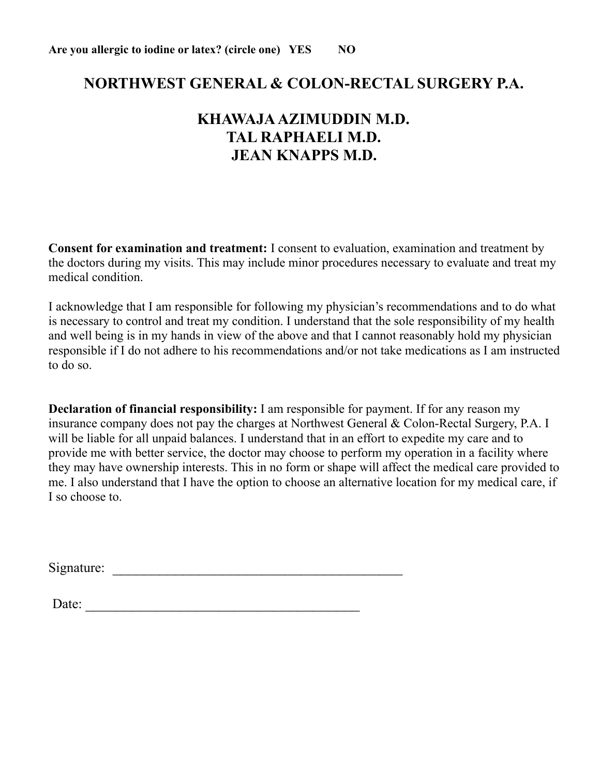### **NORTHWEST GENERAL & COLON-RECTAL SURGERY P.A.**

## **KHAWAJA AZIMUDDIN M.D. TAL RAPHAELI M.D. JEAN KNAPPS M.D.**

**Consent for examination and treatment:** I consent to evaluation, examination and treatment by the doctors during my visits. This may include minor procedures necessary to evaluate and treat my medical condition.

I acknowledge that I am responsible for following my physician's recommendations and to do what is necessary to control and treat my condition. I understand that the sole responsibility of my health and well being is in my hands in view of the above and that I cannot reasonably hold my physician responsible if I do not adhere to his recommendations and/or not take medications as I am instructed to do so.

**Declaration of financial responsibility:** I am responsible for payment. If for any reason my insurance company does not pay the charges at Northwest General & Colon-Rectal Surgery, P.A. I will be liable for all unpaid balances. I understand that in an effort to expedite my care and to provide me with better service, the doctor may choose to perform my operation in a facility where they may have ownership interests. This in no form or shape will affect the medical care provided to me. I also understand that I have the option to choose an alternative location for my medical care, if I so choose to.

Signature: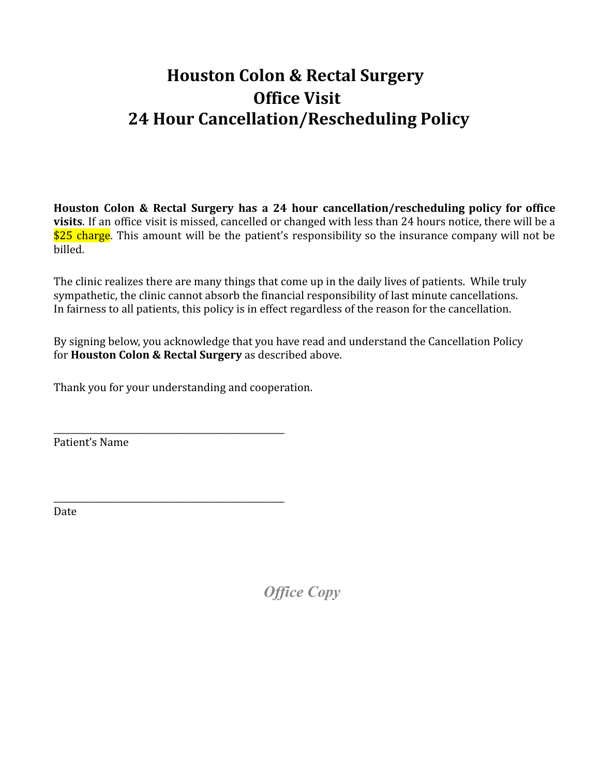# **Houston Colon & Rectal Surgery Office Visit 24 Hour Cancellation/Rescheduling Policy**

**Houston Colon & Rectal Surgery has a 24 hour cancellation/rescheduling policy for office visits**. If an office visit is missed, cancelled or changed with less than 24 hours notice, there will be a \$25 charge. This amount will be the patient's responsibility so the insurance company will not be billed.

The clinic realizes there are many things that come up in the daily lives of patients. While truly sympathetic, the clinic cannot absorb the financial responsibility of last minute cancellations. In fairness to all patients, this policy is in effect regardless of the reason for the cancellation.

By signing below, you acknowledge that you have read and understand the Cancellation Policy for **Houston Colon & Rectal Surgery** as described above.

Thank you for your understanding and cooperation.

\_\_\_\_\_\_\_\_\_\_\_\_\_\_\_\_\_\_\_\_\_\_\_\_\_\_\_\_\_\_\_\_\_\_\_\_\_\_\_\_\_\_\_\_\_\_\_\_\_\_\_\_\_

\_\_\_\_\_\_\_\_\_\_\_\_\_\_\_\_\_\_\_\_\_\_\_\_\_\_\_\_\_\_\_\_\_\_\_\_\_\_\_\_\_\_\_\_\_\_\_\_\_\_\_\_\_ Patient's Name

Date

*Office Copy*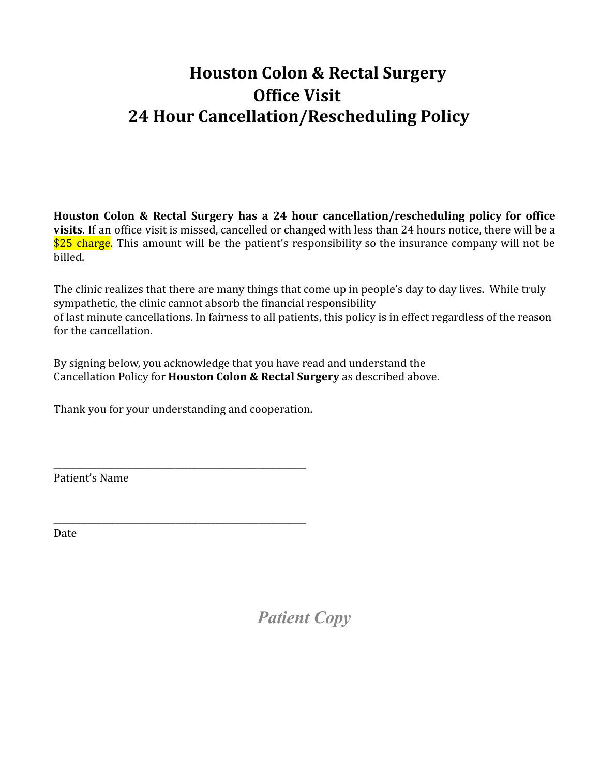# **Houston Colon & Rectal Surgery Office Visit 24 Hour Cancellation/Rescheduling Policy**

**Houston Colon & Rectal Surgery has a 24 hour cancellation/rescheduling policy for office visits**. If an office visit is missed, cancelled or changed with less than 24 hours notice, there will be a \$25 charge. This amount will be the patient's responsibility so the insurance company will not be billed.

The clinic realizes that there are many things that come up in people's day to day lives. While truly sympathetic, the clinic cannot absorb the financial responsibility of last minute cancellations. In fairness to all patients, this policy is in effect regardless of the reason for the cancellation.

By signing below, you acknowledge that you have read and understand the Cancellation Policy for **Houston Colon & Rectal Surgery** as described above.

Thank you for your understanding and cooperation.

\_\_\_\_\_\_\_\_\_\_\_\_\_\_\_\_\_\_\_\_\_\_\_\_\_\_\_\_\_\_\_\_\_\_\_\_\_\_\_\_\_\_\_\_\_\_\_\_\_\_\_\_\_\_\_\_\_\_

\_\_\_\_\_\_\_\_\_\_\_\_\_\_\_\_\_\_\_\_\_\_\_\_\_\_\_\_\_\_\_\_\_\_\_\_\_\_\_\_\_\_\_\_\_\_\_\_\_\_\_\_\_\_\_\_\_\_

Patient's Name

Date

*Patient Copy*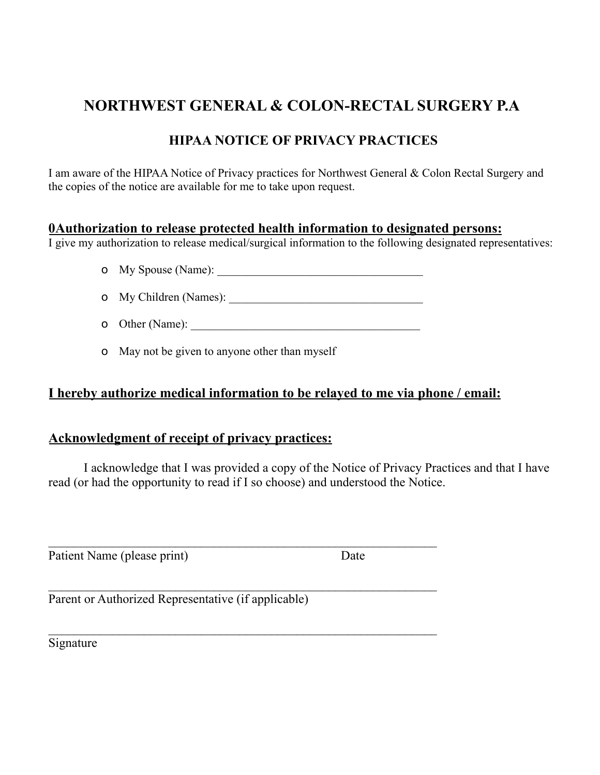## **NORTHWEST GENERAL & COLON-RECTAL SURGERY P.A**

### **HIPAA NOTICE OF PRIVACY PRACTICES**

I am aware of the HIPAA Notice of Privacy practices for Northwest General & Colon Rectal Surgery and the copies of the notice are available for me to take upon request.

### **0Authorization to release protected health information to designated persons:**

I give my authorization to release medical/surgical information to the following designated representatives:

- o My Spouse (Name): \_\_\_\_\_\_\_\_\_\_\_\_\_\_\_\_\_\_\_\_\_\_\_\_\_\_\_\_\_\_\_\_\_\_\_
- o My Children (Names):
- o Other (Name): \_\_\_\_\_\_\_\_\_\_\_\_\_\_\_\_\_\_\_\_\_\_\_\_\_\_\_\_\_\_\_\_\_\_\_\_\_\_\_

 $\mathcal{L}_\text{max} = \mathcal{L}_\text{max} = \mathcal{L}_\text{max} = \mathcal{L}_\text{max} = \mathcal{L}_\text{max} = \mathcal{L}_\text{max} = \mathcal{L}_\text{max} = \mathcal{L}_\text{max} = \mathcal{L}_\text{max} = \mathcal{L}_\text{max} = \mathcal{L}_\text{max} = \mathcal{L}_\text{max} = \mathcal{L}_\text{max} = \mathcal{L}_\text{max} = \mathcal{L}_\text{max} = \mathcal{L}_\text{max} = \mathcal{L}_\text{max} = \mathcal{L}_\text{max} = \mathcal{$ 

 $\mathcal{L}_\text{max}$  and  $\mathcal{L}_\text{max}$  and  $\mathcal{L}_\text{max}$  and  $\mathcal{L}_\text{max}$  and  $\mathcal{L}_\text{max}$ 

o May not be given to anyone other than myself

### **I hereby authorize medical information to be relayed to me via phone / email:**

### **Acknowledgment of receipt of privacy practices:**

I acknowledge that I was provided a copy of the Notice of Privacy Practices and that I have read (or had the opportunity to read if I so choose) and understood the Notice.

Patient Name (please print) Date

Parent or Authorized Representative (if applicable)

Signature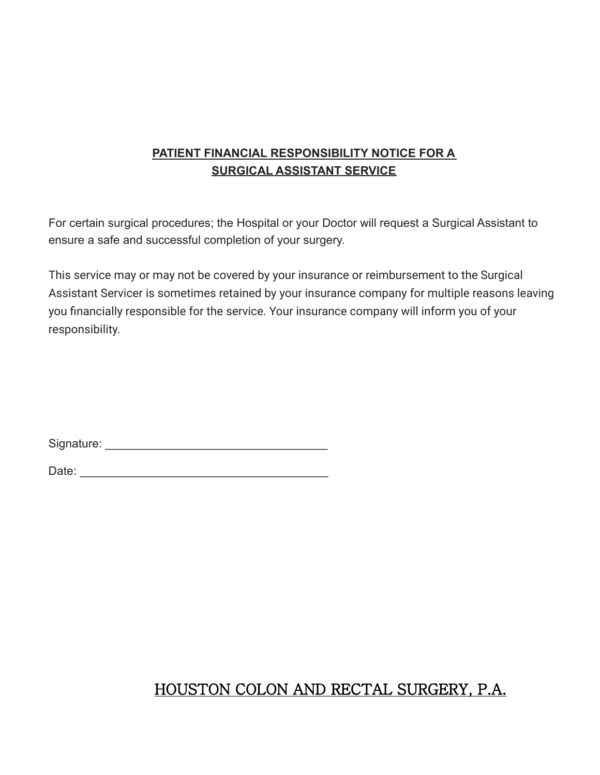### **PATIENT FINANCIAL RESPONSIBILITY NOTICE FOR A SURGICAL ASSISTANT SERVICE**

For certain surgical procedures; the Hospital or your Doctor will request a Surgical Assistant to ensure a safe and successful completion of your surgery.

This service may or may not be covered by your insurance or reimbursement to the Surgical Assistant Servicer is sometimes retained by your insurance company for multiple reasons leaving you financially responsible for the service. Your insurance company will inform you of your responsibility.

Signature: \_\_\_\_\_\_\_\_\_\_\_\_\_\_\_\_\_\_\_\_\_\_\_\_\_\_\_\_\_\_\_\_\_\_

Date: \_\_\_\_\_\_\_\_\_\_\_\_\_\_\_\_\_\_\_\_\_\_\_\_\_\_\_\_\_\_\_\_\_\_\_\_\_\_

# HOUSTON COLON AND RECTAL SURGERY, P.A.